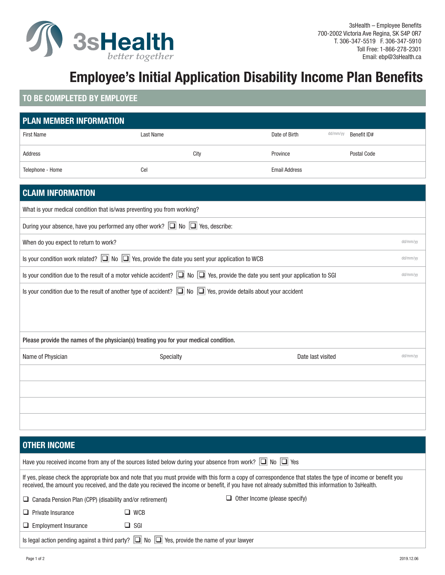

# **Employee's Initial Application Disability Income Plan Benefits**

## **TO BE COMPLETED BY EMPLOYEE**

| <b>PLAN MEMBER INFORMATION</b>                                                                                                                       |                                                                                                                         |                      |          |             |          |  |
|------------------------------------------------------------------------------------------------------------------------------------------------------|-------------------------------------------------------------------------------------------------------------------------|----------------------|----------|-------------|----------|--|
| <b>First Name</b>                                                                                                                                    | Last Name                                                                                                               | Date of Birth        | dd/mm/yy | Benefit ID# |          |  |
| Address                                                                                                                                              | City                                                                                                                    | Province             |          | Postal Code |          |  |
| Telephone - Home                                                                                                                                     | Cel                                                                                                                     | <b>Email Address</b> |          |             |          |  |
| <b>CLAIM INFORMATION</b>                                                                                                                             |                                                                                                                         |                      |          |             |          |  |
| What is your medical condition that is/was preventing you from working?                                                                              |                                                                                                                         |                      |          |             |          |  |
|                                                                                                                                                      |                                                                                                                         |                      |          |             |          |  |
| During your absence, have you performed any other work? $\boxed{\square}$ No $\boxed{\square}$ Yes, describe:                                        |                                                                                                                         |                      |          |             |          |  |
| When do you expect to return to work?                                                                                                                |                                                                                                                         |                      |          |             | dd/mm/yy |  |
|                                                                                                                                                      | Is your condition work related? $\boxed{\Box}$ No $\boxed{\Box}$ Yes, provide the date you sent your application to WCB |                      |          |             | dd/mm/yy |  |
| Is your condition due to the result of a motor vehicle accident? $\Box$ No $\Box$ Yes, provide the date you sent your application to SGI<br>dd/mm/yy |                                                                                                                         |                      |          |             |          |  |
| Is your condition due to the result of another type of accident? $\boxed{\Box}$ No $\boxed{\Box}$ Yes, provide details about your accident           |                                                                                                                         |                      |          |             |          |  |
|                                                                                                                                                      |                                                                                                                         |                      |          |             |          |  |
|                                                                                                                                                      |                                                                                                                         |                      |          |             |          |  |
| Please provide the names of the physician(s) treating you for your medical condition.                                                                |                                                                                                                         |                      |          |             |          |  |
| Name of Physician                                                                                                                                    | Specialty                                                                                                               | Date last visited    |          |             | dd/mm/yy |  |
|                                                                                                                                                      |                                                                                                                         |                      |          |             |          |  |
|                                                                                                                                                      |                                                                                                                         |                      |          |             |          |  |
|                                                                                                                                                      |                                                                                                                         |                      |          |             |          |  |
|                                                                                                                                                      |                                                                                                                         |                      |          |             |          |  |
|                                                                                                                                                      |                                                                                                                         |                      |          |             |          |  |
| <b>OTHER INCOME</b>                                                                                                                                  |                                                                                                                         |                      |          |             |          |  |

|                                                                 |                                                                                                      | If yes, please check the appropriate box and note that you must provide with this form a copy of correspondence that states the type of income or benefit you<br>received, the amount you received, and the date you recieved the income or benefit, if you have not already submitted this information to 3sHealth. |
|-----------------------------------------------------------------|------------------------------------------------------------------------------------------------------|----------------------------------------------------------------------------------------------------------------------------------------------------------------------------------------------------------------------------------------------------------------------------------------------------------------------|
| $\Box$ Canada Pension Plan (CPP) (disability and/or retirement) |                                                                                                      | $\Box$ Other Income (please specify)                                                                                                                                                                                                                                                                                 |
| $\Box$ Private Insurance                                        | $\square$ WCB                                                                                        |                                                                                                                                                                                                                                                                                                                      |
| $\Box$ Employment Insurance                                     | $\Box$ SGI                                                                                           |                                                                                                                                                                                                                                                                                                                      |
|                                                                 | Is legal action pending against a third party? $\Box$ No $\Box$ Yes, provide the name of your lawyer |                                                                                                                                                                                                                                                                                                                      |

Have you received income from any of the sources listed below during your absence from work?  $\Box$  No  $\Box$  Yes